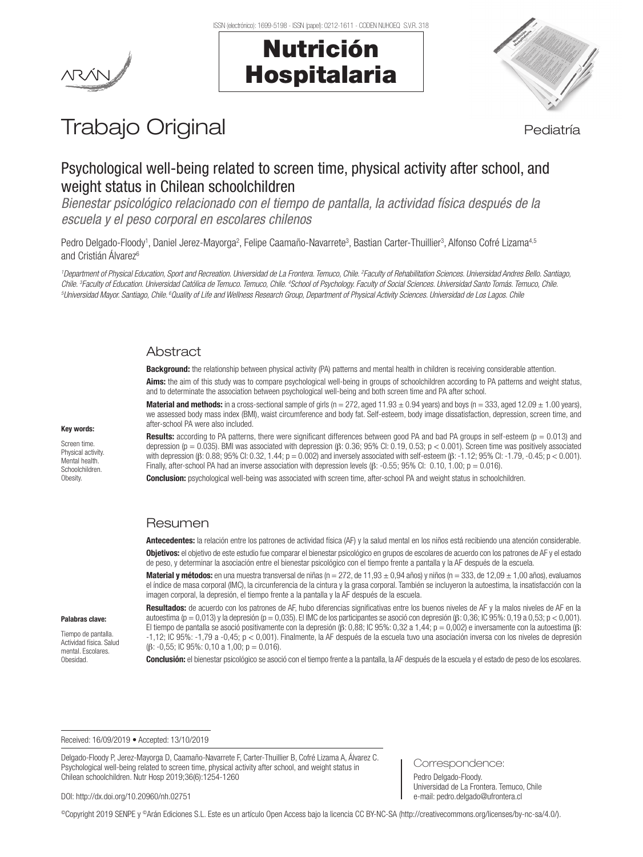



# Trabajo Original en el estatubación de la pediatría

# Psychological well-being related to screen time, physical activity after school, and weight status in Chilean schoolchildren

*Bienestar psicológico relacionado con el tiempo de pantalla, la actividad física después de la escuela y el peso corporal en escolares chilenos*

Pedro Delgado-Floody<sup>1</sup>, Daniel Jerez-Mayorga<sup>2</sup>, Felipe Caamaño-Navarrete<sup>3</sup>, Bastian Carter-Thuillier<sup>3</sup>, Alfonso Cofré Lizama<sup>4,5</sup> and Cristián Álvarez<sup>6</sup>

<sup>1</sup>Department of Physical Education, Sport and Recreation. Universidad de La Frontera. Temuco, Chile. <sup>2</sup> Faculty of Rehabilitation Sciences. Universidad Andres Bello. Santiago, Chile. <sup>3</sup>Faculty of Education. Universidad Católica de Temuco. Temuco, Chile. <sup>4</sup>School of Psychology. Faculty of Social Sciences. Universidad Santo Tomás. Temuco, Chile.<br><sup>5</sup>l Iniversidad Mayor Santiago. Chile <sup>6</sup>Ouality *Universidad Mayor. Santiago, Chile. 6Quality of Life and Wellness Research Group, Department of Physical Activity Sciences. Universidad de Los Lagos. Chile* 

# **Abstract**

Background: the relationship between physical activity (PA) patterns and mental health in children is receiving considerable attention.

Aims: the aim of this study was to compare psychological well-being in groups of schoolchildren according to PA patterns and weight status, and to determinate the association between psychological well-being and both screen time and PA after school.

**Material and methods:** in a cross-sectional sample of girls (n = 272, aged 11.93  $\pm$  0.94 years) and boys (n = 333, aged 12.09  $\pm$  1.00 years), we assessed body mass index (BMI), waist circumference and body fat. Self-esteem, body image dissatisfaction, depression, screen time, and after-school PA were also included.

**Results:** according to PA patterns, there were significant differences between good PA and bad PA groups in self-esteem ( $p = 0.013$ ) and depression (p = 0.035). BMI was associated with depression ( $\beta$ : 0.36; 95% CI: 0.19, 0.53; p < 0.001). Screen time was positively associated with depression (β: 0.88; 95% CI: 0.32, 1.44; p = 0.002) and inversely associated with self-esteem (β: -1.12; 95% CI: -1.79, -0.45; p < 0.001). Finally, after-school PA had an inverse association with depression levels ( $\beta$ : -0.55; 95% CI: 0.10, 1.00; p = 0.016).

Conclusion: psychological well-being was associated with screen time, after-school PA and weight status in schoolchildren.

# Resumen

Antecedentes: la relación entre los patrones de actividad física (AF) y la salud mental en los niños está recibiendo una atención considerable. Objetivos: el objetivo de este estudio fue comparar el bienestar psicológico en grupos de escolares de acuerdo con los patrones de AF y el estado de peso, y determinar la asociación entre el bienestar psicológico con el tiempo frente a pantalla y la AF después de la escuela.

Material y métodos: en una muestra transversal de niñas (n = 272, de 11,93  $\pm$  0,94 años) y niños (n = 333, de 12,09  $\pm$  1,00 años), evaluamos el índice de masa corporal (IMC), la circunferencia de la cintura y la grasa corporal. También se incluyeron la autoestima, la insatisfacción con la imagen corporal, la depresión, el tiempo frente a la pantalla y la AF después de la escuela.

#### Palabras clave:

Tiempo de pantalla. Actividad física. Salud mental. Escolares. Obesidad.

Resultados: de acuerdo con los patrones de AF, hubo diferencias significativas entre los buenos niveles de AF y la malos niveles de AF en la autoestima (p = 0,013) y la depresión (p = 0,035). El IMC de los participantes se asoció con depresión (β: 0,36; IC 95%: 0,19 a 0,53; p < 0,001). El tiempo de pantalla se asoció positivamente con la depresión (β: 0,88; IC 95%: 0,32 a 1,44; p = 0,002) e inversamente con la autoestima (β: -1,12; IC 95%: -1,79 a -0,45; p < 0,001). Finalmente, la AF después de la escuela tuvo una asociación inversa con los niveles de depresión (β: -0,55; IC 95%: 0,10 a 1,00; p = 0.016).

Conclusión: el bienestar psicológico se asoció con el tiempo frente a la pantalla, la AF después de la escuela y el estado de peso de los escolares.

Correspondence: Pedro Delgado-Floody.

Universidad de La Frontera. Temuco, Chile e-mail: pedro.delgado@ufrontera.cl

Received: 16/09/2019 • Accepted: 13/10/2019

Delgado-Floody P, Jerez-Mayorga D, Caamaño-Navarrete F, Carter-Thuillier B, Cofré Lizama A, Álvarez C. Psychological well-being related to screen time, physical activity after school, and weight status in Chilean schoolchildren. Nutr Hosp 2019;36(6):1254-1260

DOI: http://dx.doi.org/10.20960/nh.02751

©Copyright 2019 SENPE y ©Arán Ediciones S.L. Este es un artículo Open Access bajo la licencia CC BY-NC-SA (http://creativecommons.org/licenses/by-nc-sa/4.0/).

# Key words:

Screen time. Physical activity. Mental health. Schoolchildren. **Obesity**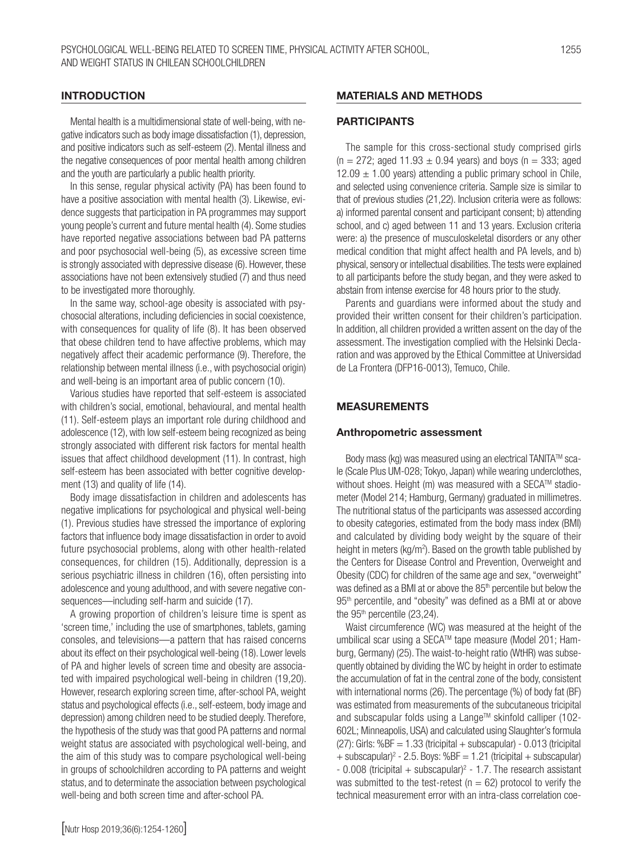#### INTRODUCTION

Mental health is a multidimensional state of well-being, with negative indicators such as body image dissatisfaction (1), depression, and positive indicators such as self-esteem (2). Mental illness and the negative consequences of poor mental health among children and the youth are particularly a public health priority.

In this sense, regular physical activity (PA) has been found to have a positive association with mental health (3). Likewise, evidence suggests that participation in PA programmes may support young people's current and future mental health (4). Some studies have reported negative associations between bad PA patterns and poor psychosocial well-being (5), as excessive screen time is strongly associated with depressive disease (6). However, these associations have not been extensively studied (7) and thus need to be investigated more thoroughly.

In the same way, school-age obesity is associated with psychosocial alterations, including deficiencies in social coexistence, with consequences for quality of life (8). It has been observed that obese children tend to have affective problems, which may negatively affect their academic performance (9). Therefore, the relationship between mental illness (i.e., with psychosocial origin) and well-being is an important area of public concern (10).

Various studies have reported that self-esteem is associated with children's social, emotional, behavioural, and mental health (11). Self-esteem plays an important role during childhood and adolescence (12), with low self-esteem being recognized as being strongly associated with different risk factors for mental health issues that affect childhood development (11). In contrast, high self-esteem has been associated with better cognitive development (13) and quality of life (14).

Body image dissatisfaction in children and adolescents has negative implications for psychological and physical well-being (1). Previous studies have stressed the importance of exploring factors that influence body image dissatisfaction in order to avoid future psychosocial problems, along with other health-related consequences, for children (15). Additionally, depression is a serious psychiatric illness in children (16), often persisting into adolescence and young adulthood, and with severe negative consequences—including self-harm and suicide (17).

A growing proportion of children's leisure time is spent as 'screen time,' including the use of smartphones, tablets, gaming consoles, and televisions—a pattern that has raised concerns about its effect on their psychological well-being (18). Lower levels of PA and higher levels of screen time and obesity are associated with impaired psychological well-being in children (19,20). However, research exploring screen time, after-school PA, weight status and psychological effects (i.e., self-esteem, body image and depression) among children need to be studied deeply. Therefore, the hypothesis of the study was that good PA patterns and normal weight status are associated with psychological well-being, and the aim of this study was to compare psychological well-being in groups of schoolchildren according to PA patterns and weight status, and to determinate the association between psychological well-being and both screen time and after-school PA.

# MATERIALS AND METHODS

## **PARTICIPANTS**

The sample for this cross-sectional study comprised girls  $(n = 272; \text{ aged } 11.93 \pm 0.94 \text{ years})$  and boys  $(n = 333; \text{ aged})$ 12.09  $\pm$  1.00 years) attending a public primary school in Chile, and selected using convenience criteria. Sample size is similar to that of previous studies (21,22). Inclusion criteria were as follows: a) informed parental consent and participant consent; b) attending school, and c) aged between 11 and 13 years. Exclusion criteria were: a) the presence of musculoskeletal disorders or any other medical condition that might affect health and PA levels, and b) physical, sensory or intellectual disabilities. The tests were explained to all participants before the study began, and they were asked to abstain from intense exercise for 48 hours prior to the study.

Parents and guardians were informed about the study and provided their written consent for their children's participation. In addition, all children provided a written assent on the day of the assessment. The investigation complied with the Helsinki Declaration and was approved by the Ethical Committee at Universidad de La Frontera (DFP16-0013), Temuco, Chile.

# MEASUREMENTS

#### Anthropometric assessment

Body mass (kg) was measured using an electrical TANITA™ scale (Scale Plus UM-028; Tokyo, Japan) while wearing underclothes, without shoes. Height (m) was measured with a SECA™ stadiometer (Model 214; Hamburg, Germany) graduated in millimetres. The nutritional status of the participants was assessed according to obesity categories, estimated from the body mass index (BMI) and calculated by dividing body weight by the square of their height in meters (kg/m<sup>2</sup>). Based on the growth table published by the Centers for Disease Control and Prevention, Overweight and Obesity (CDC) for children of the same age and sex, "overweight" was defined as a BMI at or above the 85<sup>th</sup> percentile but below the 95<sup>th</sup> percentile, and "obesity" was defined as a BMI at or above the 95<sup>th</sup> percentile (23,24).

Waist circumference (WC) was measured at the height of the umbilical scar using a SECATM tape measure (Model 201; Hamburg, Germany) (25). The waist-to-height ratio (WtHR) was subsequently obtained by dividing the WC by height in order to estimate the accumulation of fat in the central zone of the body, consistent with international norms (26). The percentage (%) of body fat (BF) was estimated from measurements of the subcutaneous tricipital and subscapular folds using a Lange™ skinfold calliper (102-602L; Minneapolis, USA) and calculated using Slaughter's formula  $(27)$ : Girls: %BF = 1.33 (tricipital + subscapular) - 0.013 (tricipital  $+$  subscapular)<sup>2</sup> - 2.5. Boys: %BF = 1.21 (tricipital  $+$  subscapular)  $-0.008$  (tricipital  $+$  subscapular)<sup>2</sup> - 1.7. The research assistant was submitted to the test-retest ( $n = 62$ ) protocol to verify the technical measurement error with an intra-class correlation coe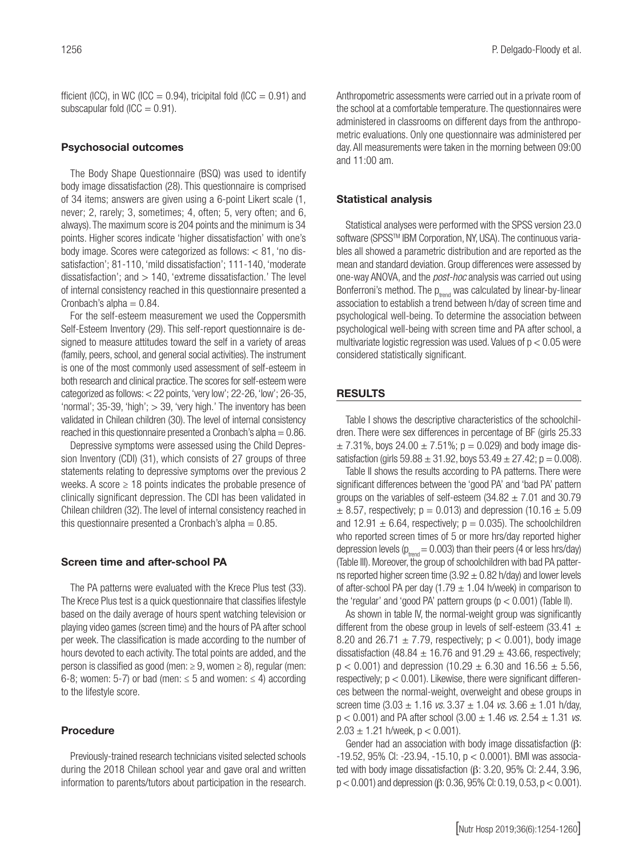fficient (ICC), in WC (ICC = 0.94), tricipital fold (ICC = 0.91) and subscapular fold  $(ICC = 0.91)$ .

## Psychosocial outcomes

The Body Shape Questionnaire (BSQ) was used to identify body image dissatisfaction (28). This questionnaire is comprised of 34 items; answers are given using a 6-point Likert scale (1, never; 2, rarely; 3, sometimes; 4, often; 5, very often; and 6, always). The maximum score is 204 points and the minimum is 34 points. Higher scores indicate 'higher dissatisfaction' with one's body image. Scores were categorized as follows: < 81, 'no dissatisfaction'; 81-110, 'mild dissatisfaction'; 111-140, 'moderate dissatisfaction'; and  $> 140$ , 'extreme dissatisfaction.' The level of internal consistency reached in this questionnaire presented a Cronbach's alpha  $= 0.84$ .

For the self-esteem measurement we used the Coppersmith Self-Esteem Inventory (29). This self-report questionnaire is designed to measure attitudes toward the self in a variety of areas (family, peers, school, and general social activities). The instrument is one of the most commonly used assessment of self-esteem in both research and clinical practice. The scores for self-esteem were categorized as follows:  $<$  22 points, 'very low'; 22-26, 'low'; 26-35, 'normal'; 35-39, 'high'; > 39, 'very high.' The inventory has been validated in Chilean children (30). The level of internal consistency reached in this questionnaire presented a Cronbach's alpha  $= 0.86$ .

Depressive symptoms were assessed using the Child Depression Inventory (CDI) (31), which consists of 27 groups of three statements relating to depressive symptoms over the previous 2 weeks. A score  $\geq$  18 points indicates the probable presence of clinically significant depression. The CDI has been validated in Chilean children (32). The level of internal consistency reached in this questionnaire presented a Cronbach's alpha  $= 0.85$ .

#### Screen time and after-school PA

The PA patterns were evaluated with the Krece Plus test (33). The Krece Plus test is a quick questionnaire that classifies lifestyle based on the daily average of hours spent watching television or playing video games (screen time) and the hours of PA after school per week. The classification is made according to the number of hours devoted to each activity. The total points are added, and the person is classified as good (men:  $\geq 9$ , women  $\geq 8$ ), regular (men: 6-8; women: 5-7) or bad (men:  $\leq$  5 and women:  $\leq$  4) according to the lifestyle score.

#### Procedure

Previously-trained research technicians visited selected schools during the 2018 Chilean school year and gave oral and written information to parents/tutors about participation in the research. Anthropometric assessments were carried out in a private room of the school at a comfortable temperature. The questionnaires were administered in classrooms on different days from the anthropometric evaluations. Only one questionnaire was administered per day. All measurements were taken in the morning between 09:00 and 11:00 am.

## Statistical analysis

Statistical analyses were performed with the SPSS version 23.0 software (SPSS™ IBM Corporation, NY, USA). The continuous variables all showed a parametric distribution and are reported as the mean and standard deviation. Group differences were assessed by one-way ANOVA, and the *post-hoc* analysis was carried out using Bonferroni's method. The  $p_{\text{trend}}$  was calculated by linear-by-linear association to establish a trend between h/day of screen time and psychological well-being. To determine the association between psychological well-being with screen time and PA after school, a multivariate logistic regression was used. Values of  $p < 0.05$  were considered statistically significant.

# RESULTS

Table I shows the descriptive characteristics of the schoolchildren. There were sex differences in percentage of BF (girls 25.33  $\pm$  7.31%, boys 24.00  $\pm$  7.51%; p = 0.029) and body image dissatisfaction (girls  $59.88 \pm 31.92$ , boys  $53.49 \pm 27.42$ ; p = 0.008).

Table II shows the results according to PA patterns. There were significant differences between the 'good PA' and 'bad PA' pattern groups on the variables of self-esteem  $(34.82 \pm 7.01)$  and 30.79  $\pm$  8.57, respectively; p = 0.013) and depression (10.16  $\pm$  5.09 and  $12.91 \pm 6.64$ , respectively;  $p = 0.035$ ). The schoolchildren who reported screen times of 5 or more hrs/day reported higher depression levels ( $p_{t_{\text{rand}}}$  = 0.003) than their peers (4 or less hrs/day) (Table III). Moreover, the group of schoolchildren with bad PA patterns reported higher screen time (3.92  $\pm$  0.82 h/day) and lower levels of after-school PA per day (1.79  $\pm$  1.04 h/week) in comparison to the 'regular' and 'good PA' pattern groups  $(p < 0.001)$  (Table II).

As shown in table IV, the normal-weight group was significantly different from the obese group in levels of self-esteem (33.41  $\pm$ 8.20 and 26.71  $\pm$  7.79, respectively;  $p < 0.001$ ), body image dissatisfaction (48.84  $\pm$  16.76 and 91.29  $\pm$  43.66, respectively;  $p < 0.001$ ) and depression (10.29  $\pm$  6.30 and 16.56  $\pm$  5.56, respectively;  $p < 0.001$ ). Likewise, there were significant differences between the normal-weight, overweight and obese groups in screen time (3.03 ± 1.16 *vs.* 3.37 ± 1.04 *vs.* 3.66 ± 1.01 h/day, p < 0.001) and PA after school (3.00 ± 1.46 *vs.* 2.54 ± 1.31 *vs.*   $2.03 \pm 1.21$  h/week,  $p < 0.001$ ).

Gender had an association with body image dissatisfaction (β: -19.52, 95% CI: -23.94, -15.10, p < 0.0001). BMI was associated with body image dissatisfaction (β: 3.20, 95% CI: 2.44, 3.96, p < 0.001) and depression (β: 0.36, 95% CI: 0.19, 0.53, p < 0.001).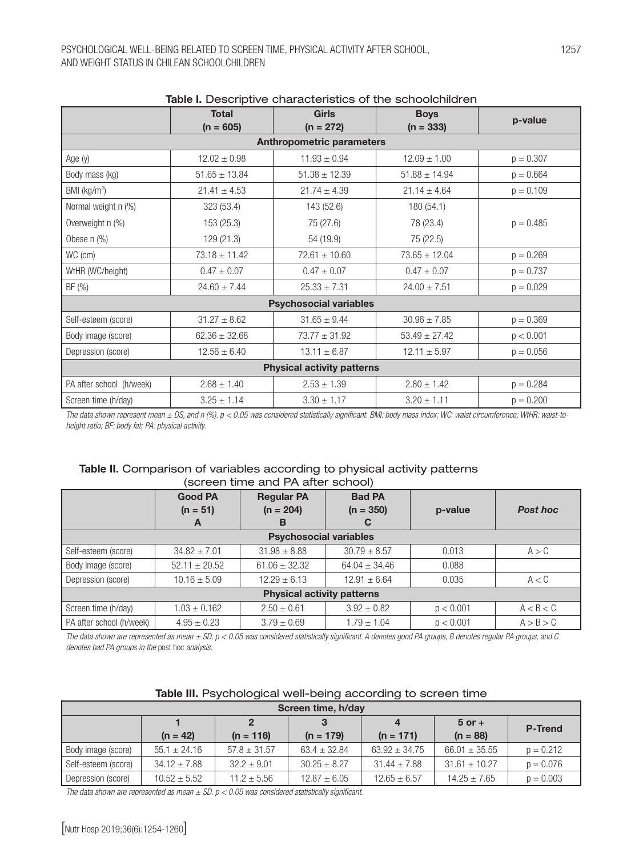|                                   | <u>rabio il pesso iperve ofici asteristics or the sorisoloriliano il </u> |                                  |                   |             |  |  |
|-----------------------------------|---------------------------------------------------------------------------|----------------------------------|-------------------|-------------|--|--|
|                                   | <b>Total</b>                                                              | <b>Girls</b>                     | <b>Boys</b>       | p-value     |  |  |
|                                   | $(n = 605)$                                                               | $(n = 272)$                      | $(n = 333)$       |             |  |  |
|                                   |                                                                           | <b>Anthropometric parameters</b> |                   |             |  |  |
| Age (y)                           | $12.02 \pm 0.98$                                                          | $11.93 \pm 0.94$                 | $12.09 \pm 1.00$  | $p = 0.307$ |  |  |
| Body mass (kg)                    | $51.65 \pm 13.84$                                                         | $51.38 \pm 12.39$                | $51.88 \pm 14.94$ | $p = 0.664$ |  |  |
| BMI (kg/m <sup>2</sup> )          | $21.41 \pm 4.53$                                                          | $21.74 \pm 4.39$                 | $21.14 \pm 4.64$  | $p = 0.109$ |  |  |
| Normal weight n (%)               | 323 (53.4)                                                                | 143 (52.6)                       | 180 (54.1)        |             |  |  |
| Overweight n (%)                  | 153 (25.3)                                                                | 75 (27.6)                        | 78 (23.4)         | $p = 0.485$ |  |  |
| Obese $n$ $(\%)$                  | 129(21.3)                                                                 | 54 (19.9)                        | 75 (22.5)         |             |  |  |
| WC (cm)                           | $73.18 \pm 11.42$                                                         | $72.61 \pm 10.60$                | $73.65 \pm 12.04$ | $p = 0.269$ |  |  |
| WtHR (WC/height)                  | $0.47 \pm 0.07$                                                           | $0.47 \pm 0.07$                  | $0.47 \pm 0.07$   | $p = 0.737$ |  |  |
| BF (%)                            | $24.60 \pm 7.44$                                                          | $25.33 \pm 7.31$                 | $24.00 \pm 7.51$  | $p = 0.029$ |  |  |
| <b>Psychosocial variables</b>     |                                                                           |                                  |                   |             |  |  |
| Self-esteem (score)               | $31.27 \pm 8.62$                                                          | $31.65 \pm 9.44$                 | $30.96 \pm 7.85$  | $p = 0.369$ |  |  |
| Body image (score)                | $62.36 \pm 32.68$                                                         | $73.77 \pm 31.92$                | $53.49 \pm 27.42$ | p < 0.001   |  |  |
| Depression (score)                | $12.56 \pm 6.40$                                                          | $13.11 \pm 6.87$                 | $12.11 \pm 5.97$  | $p = 0.056$ |  |  |
| <b>Physical activity patterns</b> |                                                                           |                                  |                   |             |  |  |
| PA after school (h/week)          | $2.68 \pm 1.40$                                                           | $2.53 \pm 1.39$                  | $2.80 \pm 1.42$   | $p = 0.284$ |  |  |
| Screen time (h/day)               | $3.25 \pm 1.14$                                                           | $3.30 \pm 1.17$                  | $3.20 \pm 1.11$   | $p = 0.200$ |  |  |

# Table I. Descriptive characteristics of the schoolchildren

*The data shown represent mean ± DS, and n (%). p < 0.05 was considered statistically significant. BMI: body mass index; WC: waist circumference; WtHR: waist-toheight ratio; BF: body fat; PA: physical activity.*

# Table II. Comparison of variables according to physical activity patterns (screen time and PA after school)

| <b>Good PA</b><br>$(n = 51)$      |                   | <b>Regular PA</b><br>$(n = 204)$ | <b>Bad PA</b><br>$(n = 350)$ | <b>Post hoc</b><br>p-value |           |  |
|-----------------------------------|-------------------|----------------------------------|------------------------------|----------------------------|-----------|--|
|                                   | A                 | в                                | C                            |                            |           |  |
| <b>Psychosocial variables</b>     |                   |                                  |                              |                            |           |  |
| Self-esteem (score)               | $34.82 \pm 7.01$  | $31.98 \pm 8.88$                 | $30.79 \pm 8.57$             | 0.013                      | A > C     |  |
| Body image (score)                | $52.11 \pm 20.52$ | $61.06 \pm 32.32$                | $64.04 \pm 34.46$            | 0.088                      |           |  |
| Depression (score)                | $10.16 \pm 5.09$  | $12.29 \pm 6.13$                 | $12.91 \pm 6.64$             | 0.035                      | A < C     |  |
| <b>Physical activity patterns</b> |                   |                                  |                              |                            |           |  |
| Screen time (h/day)               | $1.03 \pm 0.162$  | $2.50 \pm 0.61$                  | $3.92 \pm 0.82$              | p < 0.001                  | A < B < C |  |
| PA after school (h/week)          | $4.95 \pm 0.23$   | $3.79 \pm 0.69$                  | $1.79 \pm 1.04$              | p < 0.001                  | A > B > C |  |

*The data shown are represented as mean ± SD. p < 0.05 was considered statistically significant. A denotes good PA groups, B denotes regular PA groups, and C denotes bad PA groups in the* post hoc *analysis.*

| Screen time, h/day  |                  |                  |                  |                   |                   |                |  |
|---------------------|------------------|------------------|------------------|-------------------|-------------------|----------------|--|
|                     |                  |                  |                  |                   | $5$ or $+$        | <b>P-Trend</b> |  |
|                     | $(n = 42)$       | $(n = 116)$      | $(n = 179)$      | $(n = 171)$       | $(n = 88)$        |                |  |
| Body image (score)  | $55.1 \pm 24.16$ | $57.8 \pm 31.57$ | $63.4 \pm 32.84$ | $63.92 \pm 34.75$ | $66.01 \pm 35.55$ | $p = 0.212$    |  |
| Self-esteem (score) | $34.12 \pm 7.88$ | $32.2 \pm 9.01$  | $30.25 \pm 8.27$ | $31.44 \pm 7.88$  | $31.61 \pm 10.27$ | $p = 0.076$    |  |
| Depression (score)  | $10.52 \pm 5.52$ | $11.2 \pm 5.56$  | $12.87 \pm 6.05$ | $12.65 \pm 6.57$  | $14.25 \pm 7.65$  | $p = 0.003$    |  |

# Table III. Psychological well-being according to screen time

*The data shown are represented as mean ± SD. p < 0.05 was considered statistically significant.*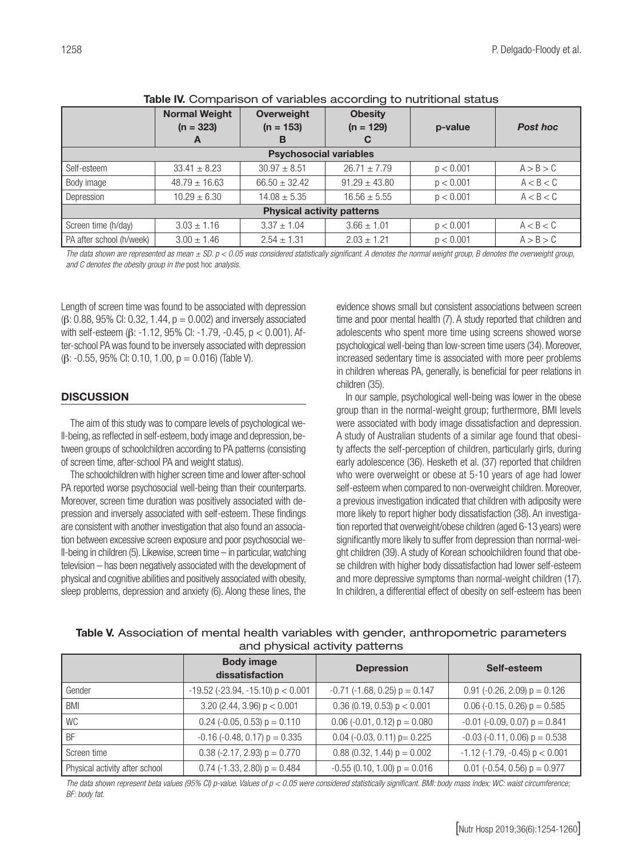|                                   | <b>Normal Weight</b><br>$(n = 323)$<br>A | Overweight<br>$(n = 153)$<br>в | <b>Obesity</b><br>$(n = 129)$<br>С | p-value   | <b>Post hoc</b> |  |
|-----------------------------------|------------------------------------------|--------------------------------|------------------------------------|-----------|-----------------|--|
| <b>Psychosocial variables</b>     |                                          |                                |                                    |           |                 |  |
| Self-esteem                       | $33.41 \pm 8.23$                         | $30.97 \pm 8.51$               | $26.71 \pm 7.79$                   | p < 0.001 | A > B > C       |  |
| Body image                        | $48.79 \pm 16.63$                        | $66.50 \pm 32.42$              | $91.29 \pm 43.80$                  | p < 0.001 | A < B < C       |  |
| Depression                        | $10.29 \pm 6.30$                         | $14.08 \pm 5.35$               | $16.56 \pm 5.55$                   | p < 0.001 | A < B < C       |  |
| <b>Physical activity patterns</b> |                                          |                                |                                    |           |                 |  |
| Screen time (h/day)               | $3.03 \pm 1.16$                          | $3.37 \pm 1.04$                | $3.66 \pm 1.01$                    | p < 0.001 | A < B < C       |  |
| PA after school (h/week)          | $3.00 \pm 1.46$                          | $2.54 \pm 1.31$                | $2.03 \pm 1.21$                    | p < 0.001 | A > B > C       |  |

#### Table IV. Comparison of variables according to nutritional status

The data shown are represented as mean  $\pm$  SD.  $p < 0.05$  was considered statistically significant. A denotes the normal weight group, B denotes the overweight group, *and C denotes the obesity group in the* post hoc *analysis.*

Length of screen time was found to be associated with depression  $(\beta: 0.88, 95\% \text{ Cl}: 0.32, 1.44, p = 0.002)$  and inversely associated with self-esteem (β: -1.12, 95% CI: -1.79, -0.45, p < 0.001). After-school PA was found to be inversely associated with depression (β: -0.55, 95% CI: 0.10, 1.00, p = 0.016) (Table V).

#### **DISCUSSION**

The aim of this study was to compare levels of psychological well-being, as reflected in self-esteem, body image and depression, between groups of schoolchildren according to PA patterns (consisting of screen time, after-school PA and weight status).

The schoolchildren with higher screen time and lower after-school PA reported worse psychosocial well-being than their counterparts. Moreover, screen time duration was positively associated with depression and inversely associated with self-esteem. These findings are consistent with another investigation that also found an association between excessive screen exposure and poor psychosocial well-being in children (5). Likewise, screen time – in particular, watching television – has been negatively associated with the development of physical and cognitive abilities and positively associated with obesity, sleep problems, depression and anxiety (6). Along these lines, the

evidence shows small but consistent associations between screen time and poor mental health (7). A study reported that children and adolescents who spent more time using screens showed worse psychological well-being than low-screen time users (34). Moreover, increased sedentary time is associated with more peer problems in children whereas PA, generally, is beneficial for peer relations in children (35).

In our sample, psychological well-being was lower in the obese group than in the normal-weight group; furthermore, BMI levels were associated with body image dissatisfaction and depression. A study of Australian students of a similar age found that obesity affects the self-perception of children, particularly girls, during early adolescence (36). Hesketh et al. (37) reported that children who were overweight or obese at 5-10 years of age had lower self-esteem when compared to non-overweight children. Moreover, a previous investigation indicated that children with adiposity were more likely to report higher body dissatisfaction (38). An investigation reported that overweight/obese children (aged 6-13 years) were significantly more likely to suffer from depression than normal-weight children (39). A study of Korean schoolchildren found that obese children with higher body dissatisfaction had lower self-esteem and more depressive symptoms than normal-weight children (17). In children, a differential effect of obesity on self-esteem has been

| $\alpha$ , $\alpha$ $\beta$ , $\gamma$ $\beta$ , $\alpha$ $\alpha$ , $\alpha$ $\beta$ , $\alpha$ , $\beta$ , $\beta$ , $\alpha$ , $\alpha$ , $\beta$ |                                              |                                       |                                           |  |  |  |
|------------------------------------------------------------------------------------------------------------------------------------------------------|----------------------------------------------|---------------------------------------|-------------------------------------------|--|--|--|
|                                                                                                                                                      | <b>Body image</b><br>dissatisfaction         | <b>Depression</b>                     | Self-esteem                               |  |  |  |
| Gender                                                                                                                                               | $-19.52$ ( $-23.94$ , $-15.10$ ) p $< 0.001$ | $-0.71$ ( $-1.68$ , 0.25) $p = 0.147$ | $0.91$ (-0.26, 2.09) $p = 0.126$          |  |  |  |
| BMI                                                                                                                                                  | 3.20 (2.44, 3.96) $p < 0.001$                | $0.36$ (0.19, 0.53) $p < 0.001$       | $0.06$ (-0.15, 0.26) $p = 0.585$          |  |  |  |
| WC                                                                                                                                                   | $0.24$ (-0.05, 0.53) $p = 0.110$             | $0.06$ (-0.01, 0.12) $p = 0.080$      | $-0.01$ ( $-0.09$ , 0.07) $p = 0.841$     |  |  |  |
| <b>BF</b>                                                                                                                                            | $-0.16$ ( $-0.48$ , 0.17) $p = 0.335$        | $0.04$ (-0.03, 0.11) p= 0.225         | $-0.03$ ( $-0.11$ , 0.06) $p = 0.538$     |  |  |  |
| Screen time                                                                                                                                          | $0.38$ (-2.17, 2.93) $p = 0.770$             | $0.88$ (0.32, 1.44) $p = 0.002$       | $-1.12$ ( $-1.79$ , $-0.45$ ) $p < 0.001$ |  |  |  |
| Physical activity after school                                                                                                                       | $0.74$ (-1.33, 2.80) $p = 0.484$             | $-0.55$ (0.10, 1.00) $p = 0.016$      | 0.01 (-0.54, 0.56) $p = 0.977$            |  |  |  |

# Table V. Association of mental health variables with gender, anthropometric parameters and physical activity patterns

*The data shown represent beta values (95% CI) p-value. Values of p < 0.05 were considered statistically significant. BMI: body mass index; WC: waist circumference; BF: body fat.*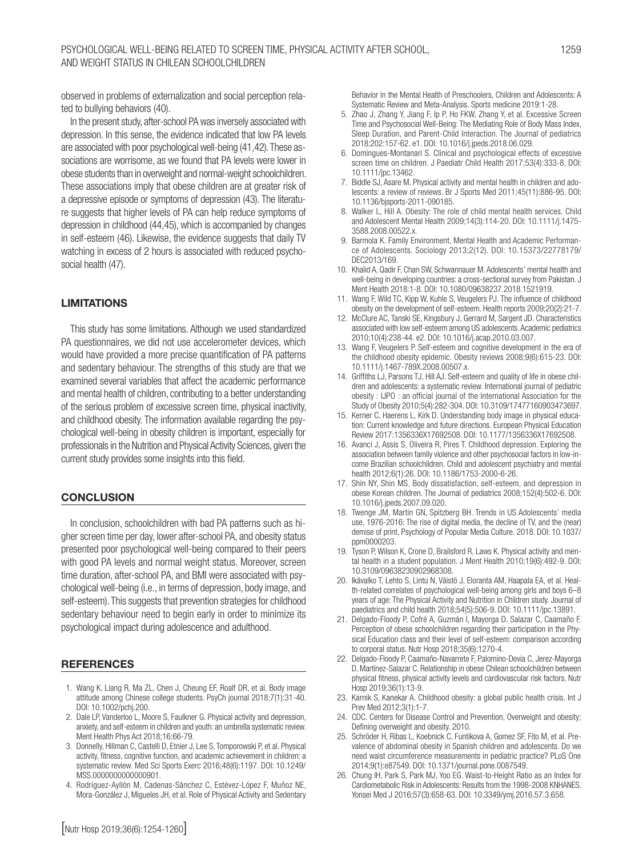observed in problems of externalization and social perception related to bullying behaviors (40).

In the present study, after-school PA was inversely associated with depression. In this sense, the evidence indicated that low PA levels are associated with poor psychological well-being (41,42). These associations are worrisome, as we found that PA levels were lower in obese students than in overweight and normal-weight schoolchildren. These associations imply that obese children are at greater risk of a depressive episode or symptoms of depression (43). The literature suggests that higher levels of PA can help reduce symptoms of depression in childhood (44,45), which is accompanied by changes in self-esteem (46). Likewise, the evidence suggests that daily TV watching in excess of 2 hours is associated with reduced psychosocial health (47).

# LIMITATIONS

This study has some limitations. Although we used standardized PA questionnaires, we did not use accelerometer devices, which would have provided a more precise quantification of PA patterns and sedentary behaviour. The strengths of this study are that we examined several variables that affect the academic performance and mental health of children, contributing to a better understanding of the serious problem of excessive screen time, physical inactivity, and childhood obesity. The information available regarding the psychological well-being in obesity children is important, especially for professionals in the Nutrition and Physical Activity Sciences, given the current study provides some insights into this field.

#### **CONCLUSION**

In conclusion, schoolchildren with bad PA patterns such as higher screen time per day, lower after-school PA, and obesity status presented poor psychological well-being compared to their peers with good PA levels and normal weight status. Moreover, screen time duration, after-school PA, and BMI were associated with psychological well-being (i.e., in terms of depression, body image, and self-esteem). This suggests that prevention strategies for childhood sedentary behaviour need to begin early in order to minimize its psychological impact during adolescence and adulthood.

#### **REFERENCES**

- 1. Wang K, Liang R, Ma ZL, Chen J, Cheung EF, Roalf DR, et al. Body image attitude among Chinese college students. PsyCh journal 2018;7(1):31-40. DOI: 10.1002/pchj.200.
- 2. Dale LP, Vanderloo L, Moore S, Faulkner G. Physical activity and depression, anxiety, and self-esteem in children and youth: an umbrella systematic review. Ment Health Phys Act 2018;16:66-79.
- 3. Donnelly, Hillman C, Castelli D, Etnier J, Lee S, Tomporowski P, et al. Physical activity, fitness, cognitive function, and academic achievement in children: a systematic review. Med Sci Sports Exerc 2016;48(6):1197. DOI: 10.1249/ MSS.0000000000000901.
- 4. Rodríguez-Ayllón M, Cadenas-Sánchez C, Estévez-López F, Muñoz NE, Mora-González J, Migueles JH, et al. Role of Physical Activity and Sedentary

Behavior in the Mental Health of Preschoolers, Children and Adolescents: A Systematic Review and Meta-Analysis. Sports medicine 2019:1-28.

- 5. Zhao J, Zhang Y, Jiang F, Ip P, Ho FKW, Zhang Y, et al. Excessive Screen Time and Psychosocial Well-Being: The Mediating Role of Body Mass Index, Sleep Duration, and Parent-Child Interaction. The Journal of pediatrics 2018;202:157-62. e1. DOI: 10.1016/j.jpeds.2018.06.029.
- 6. Domingues-Montanari S. Clinical and psychological effects of excessive screen time on children. J Paediatr Child Health 2017;53(4):333-8. DOI: 10.1111/jpc.13462.
- 7. Biddle SJ, Asare M. Physical activity and mental health in children and adolescents: a review of reviews. Br J Sports Med 2011;45(11):886-95. DOI: 10.1136/bjsports-2011-090185.
- 8. Walker L, Hill A. Obesity: The role of child mental health services. Child and Adolescent Mental Health 2009;14(3):114-20. DOI: 10.1111/j.1475- 3588.2008.00522.x.
- 9. Barmola K. Family Environment, Mental Health and Academic Performance of Adolescents. Sociology 2013;2(12). DOI: 10.15373/22778179/ DEC2013/169.
- 10. Khalid A, Qadir F, Chan SW, Schwannauer M. Adolescents' mental health and well-being in developing countries: a cross-sectional survey from Pakistan. J Ment Health 2018:1-8. DOI: 10.1080/09638237.2018.1521919.
- 11. Wang F, Wild TC, Kipp W, Kuhle S, Veugelers PJ. The influence of childhood obesity on the development of self-esteem. Health reports 2009;20(2):21-7.
- 12. McClure AC, Tanski SE, Kingsbury J, Gerrard M, Sargent JD. Characteristics associated with low self-esteem among US adolescents. Academic pediatrics 2010;10(4):238-44. e2. DOI: 10.1016/j.acap.2010.03.007.
- 13. Wang F, Veugelers P. Self-esteem and cognitive development in the era of the childhood obesity epidemic. Obesity reviews 2008;9(6):615-23. DOI: 10.1111/j.1467-789X.2008.00507.x.
- 14. Griffiths LJ, Parsons TJ, Hill AJ. Self-esteem and quality of life in obese children and adolescents: a systematic review. International journal of pediatric obesity : IJPO : an official journal of the International Association for the Study of Obesity 2010;5(4):282-304. DOI: 10.3109/17477160903473697.
- 15. Kerner C, Haerens L, Kirk D. Understanding body image in physical education: Current knowledge and future directions. European Physical Education Review 2017:1356336X17692508. DOI: 10.1177/1356336X17692508.
- 16. Avanci J, Assis S, Oliveira R, Pires T. Childhood depression. Exploring the association between family violence and other psychosocial factors in low-income Brazilian schoolchildren. Child and adolescent psychiatry and mental health 2012;6(1):26. DOI: 10.1186/1753-2000-6-26.
- 17. Shin NY, Shin MS. Body dissatisfaction, self-esteem, and depression in obese Korean children. The Journal of pediatrics 2008;152(4):502-6. DOI: 10.1016/j.jpeds.2007.09.020.
- 18. Twenge JM, Martin GN, Spitzberg BH. Trends in US Adolescents' media use, 1976-2016: The rise of digital media, the decline of TV, and the (near) demise of print. Psychology of Popular Media Culture. 2018. DOI: 10.1037/ ppm0000203.
- 19. Tyson P, Wilson K, Crone D, Brailsford R, Laws K. Physical activity and mental health in a student population. J Ment Health 2010;19(6):492-9. DOI: 10.3109/09638230902968308.
- 20. Ikävalko T, Lehto S, Lintu N, Väistö J, Eloranta AM, Haapala EA, et al. Health-related correlates of psychological well-being among girls and boys 6–8 years of age: The Physical Activity and Nutrition in Children study. Journal of paediatrics and child health 2018;54(5):506-9. DOI: 10.1111/jpc.13891.
- 21. Delgado-Floody P, Cofré A, Guzmán I, Mayorga D, Salazar C, Caamaño F. Perception of obese schoolchildren regarding their participation in the Physical Education class and their level of self-esteem: comparison according to corporal status. Nutr Hosp 2018;35(6):1270-4.
- 22. Delgado-Floody P, Caamaño-Navarrete F, Palomino-Devia C, Jerez-Mayorga D, Martínez-Salazar C. Relationship in obese Chilean schoolchildren between physical fitness, physical activity levels and cardiovascular risk factors. Nutr Hosp 2019;36(1):13-9.
- 23. Karnik S, Kanekar A. Childhood obesity: a global public health crisis. Int J Prev Med 2012;3(1):1-7.
- 24. CDC. Centers for Disease Control and Prevention, Overweight and obesity; Defining overweight and obesity. 2010.
- 25. Schröder H, Ribas L, Koebnick C, Funtikova A, Gomez SF, Fíto M, et al. Prevalence of abdominal obesity in Spanish children and adolescents. Do we need waist circumference measurements in pediatric practice? PLoS One 2014;9(1):e87549. DOI: 10.1371/journal.pone.0087549.
- 26. Chung IH, Park S, Park MJ, Yoo EG. Waist-to-Height Ratio as an Index for Cardiometabolic Risk in Adolescents: Results from the 1998-2008 KNHANES. Yonsei Med J 2016;57(3):658-63. DOI: 10.3349/ymj.2016.57.3.658.